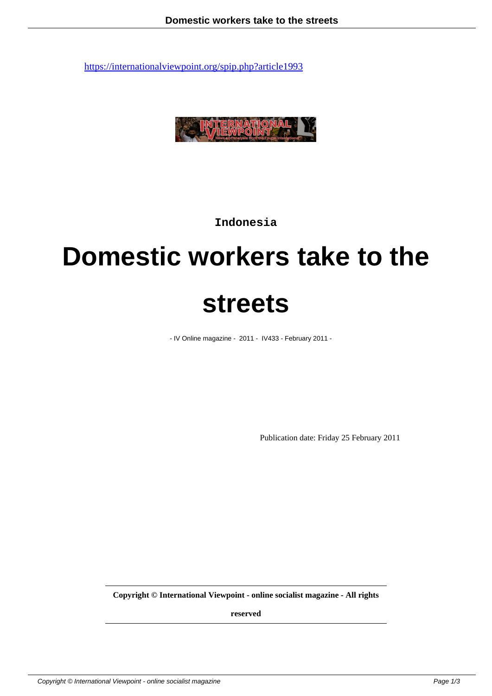

**Indonesia**

## **Domestic workers take to the streets**

- IV Online magazine - 2011 - IV433 - February 2011 -

Publication date: Friday 25 February 2011

**Copyright © International Viewpoint - online socialist magazine - All rights**

**reserved**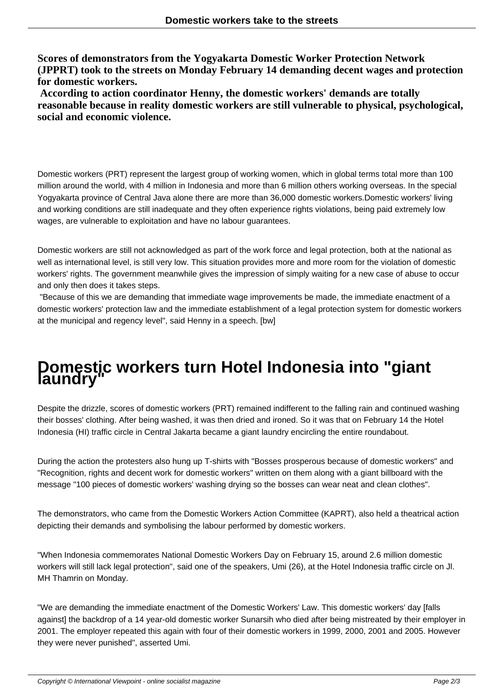**Scores of demonstrators from the Yogyakarta Domestic Worker Protection Network (JPPRT) took to the streets on Monday February 14 demanding decent wages and protection for domestic workers.**

 **According to action coordinator Henny, the domestic workers' demands are totally reasonable because in reality domestic workers are still vulnerable to physical, psychological, social and economic violence.**

Domestic workers (PRT) represent the largest group of working women, which in global terms total more than 100 million around the world, with 4 million in Indonesia and more than 6 million others working overseas. In the special Yogyakarta province of Central Java alone there are more than 36,000 domestic workers.Domestic workers' living and working conditions are still inadequate and they often experience rights violations, being paid extremely low wages, are vulnerable to exploitation and have no labour guarantees.

Domestic workers are still not acknowledged as part of the work force and legal protection, both at the national as well as international level, is still very low. This situation provides more and more room for the violation of domestic workers' rights. The government meanwhile gives the impression of simply waiting for a new case of abuse to occur and only then does it takes steps.

 "Because of this we are demanding that immediate wage improvements be made, the immediate enactment of a domestic workers' protection law and the immediate establishment of a legal protection system for domestic workers at the municipal and regency level", said Henny in a speech. [bw]

## **Domestic workers turn Hotel Indonesia into "giant laundry"**

Despite the drizzle, scores of domestic workers (PRT) remained indifferent to the falling rain and continued washing their bosses' clothing. After being washed, it was then dried and ironed. So it was that on February 14 the Hotel Indonesia (HI) traffic circle in Central Jakarta became a giant laundry encircling the entire roundabout.

During the action the protesters also hung up T-shirts with "Bosses prosperous because of domestic workers" and "Recognition, rights and decent work for domestic workers" written on them along with a giant billboard with the message "100 pieces of domestic workers' washing drying so the bosses can wear neat and clean clothes".

The demonstrators, who came from the Domestic Workers Action Committee (KAPRT), also held a theatrical action depicting their demands and symbolising the labour performed by domestic workers.

"When Indonesia commemorates National Domestic Workers Day on February 15, around 2.6 million domestic workers will still lack legal protection", said one of the speakers, Umi (26), at the Hotel Indonesia traffic circle on Jl. MH Thamrin on Monday.

"We are demanding the immediate enactment of the Domestic Workers' Law. This domestic workers' day [falls against] the backdrop of a 14 year-old domestic worker Sunarsih who died after being mistreated by their employer in 2001. The employer repeated this again with four of their domestic workers in 1999, 2000, 2001 and 2005. However they were never punished", asserted Umi.